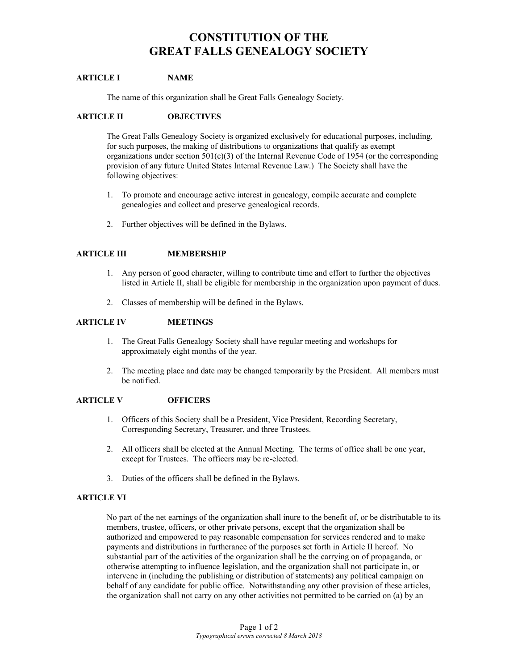# **CONSTITUTION OF THE GREAT FALLS GENEALOGY SOCIETY**

## **ARTICLE I NAME**

The name of this organization shall be Great Falls Genealogy Society.

#### **ARTICLE II OBJECTIVES**

The Great Falls Genealogy Society is organized exclusively for educational purposes, including, for such purposes, the making of distributions to organizations that qualify as exempt organizations under section  $501(c)(3)$  of the Internal Revenue Code of 1954 (or the corresponding provision of any future United States Internal Revenue Law.) The Society shall have the following objectives:

- 1. To promote and encourage active interest in genealogy, compile accurate and complete genealogies and collect and preserve genealogical records.
- 2. Further objectives will be defined in the Bylaws.

## **ARTICLE III MEMBERSHIP**

- 1. Any person of good character, willing to contribute time and effort to further the objectives listed in Article II, shall be eligible for membership in the organization upon payment of dues.
- 2. Classes of membership will be defined in the Bylaws.

#### **ARTICLE IV MEETINGS**

- 1. The Great Falls Genealogy Society shall have regular meeting and workshops for approximately eight months of the year.
- 2. The meeting place and date may be changed temporarily by the President. All members must be notified.

## **ARTICLE V OFFICERS**

- 1. Officers of this Society shall be a President, Vice President, Recording Secretary, Corresponding Secretary, Treasurer, and three Trustees.
- 2. All officers shall be elected at the Annual Meeting. The terms of office shall be one year, except for Trustees. The officers may be re-elected.
- 3. Duties of the officers shall be defined in the Bylaws.

## **ARTICLE VI**

No part of the net earnings of the organization shall inure to the benefit of, or be distributable to its members, trustee, officers, or other private persons, except that the organization shall be authorized and empowered to pay reasonable compensation for services rendered and to make payments and distributions in furtherance of the purposes set forth in Article II hereof. No substantial part of the activities of the organization shall be the carrying on of propaganda, or otherwise attempting to influence legislation, and the organization shall not participate in, or intervene in (including the publishing or distribution of statements) any political campaign on behalf of any candidate for public office. Notwithstanding any other provision of these articles, the organization shall not carry on any other activities not permitted to be carried on (a) by an